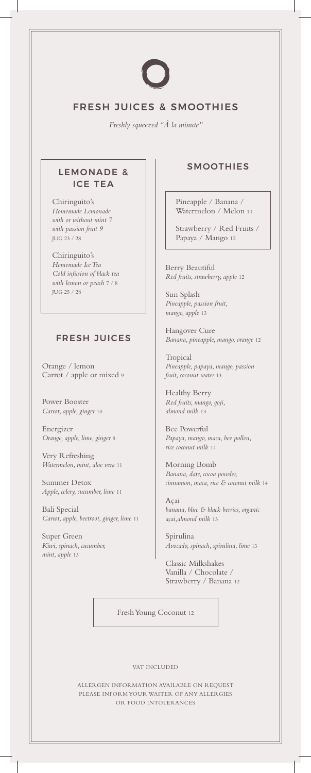

# FRESH JUICES & SMOOTHIES

*Freshly squeezed "À la minute"*

### LEMONADE & ICE TEA

Chiringuito's *Homemade Lemonade with or without mint 7 with passion fruit 9* JUG 23 / 28

Chiringuito's *Homemade Ice Tea Cold infusion of black tea with lemon or peach* 7 / 8 JUG 25 / 28

#### FRESH JUICES

Orange / lemon Carrot / apple or mixed 9

Power Booster *Carrot, apple, ginger* 10

Energizer *Orange, apple, lime, ginger* 8

Very Refreshing *Watermelon, mint, aloe vera* 11

Summer Detox *Apple, celery, cucumber, lime* 11

Bali Special *Carrot, apple, beetroot, ginger, lime* 11

Super Green *Kiwi, spinach, cucumber, mint, apple* 13

## SMOOTHIES

Pineapple / Banana / Watermelon / Melon 10

Strawberry / Red Fruits / Papaya / Mango 12

Berry Beautiful *Red fruits, strawberry, apple* 12

Sun Splash *Pineapple, passion fruit, mango, apple* 13

Hangover Cure *Banana, pineapple, mango, orange* 12

Tropical *Pineapple, papaya, mango, passion fruit, coconut water* 13

Healthy Berry *Red fruits, mango, goji, almond milk* 13

Bee Powerful *Papaya, mango, maca, bee pollen, rice coconut milk* 14

Morning Bomb *Banana, date, cocoa powder, cinnamon, maca, rice & coconut milk* 14

Açai *banana, blue & black berries, organic açai,almond milk* 13

Spirulina *Avocado, spinach, spirulina, lime* 13

Classic Milkshakes Vanilla / Chocolate / Strawberry / Banana 12

Fresh Young Coconut 12

VAT INCLUDED

ALLERGEN INFORMATION AVAILABLE ON REQUEST PLEASE INFORM YOUR WAITER OF ANY ALLERGIES OR FOOD INTOLERANCES